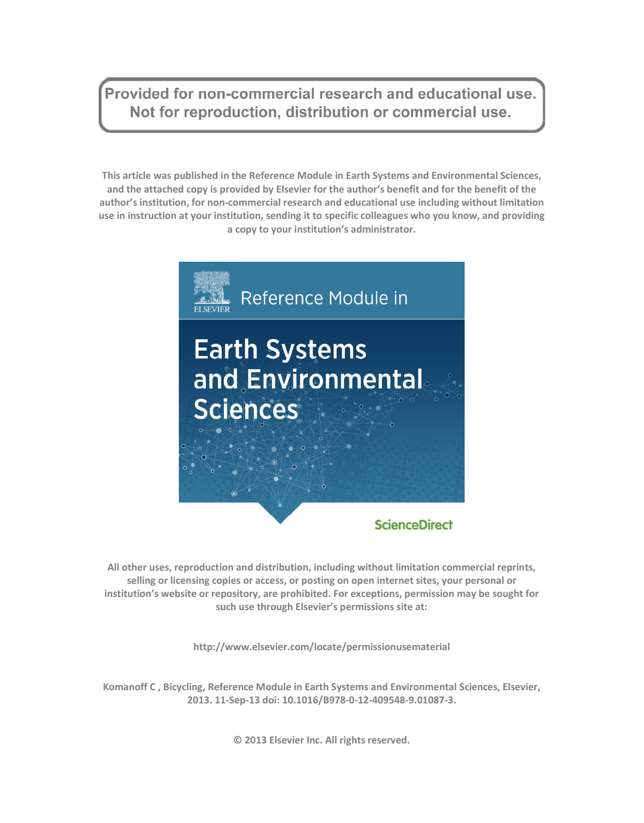Provided for non-commercial research and educational use. Not for reproduction, distribution or commercial use.

**This article was published in the Reference Module in Earth Systems and Environmental Sciences, and the attached copy is provided by Elsevier for the author's benefit and for the benefit of the author's institution, for non-commercial research and educational use including without limitation use in instruction at your institution, sending it to specific colleagues who you know, and providing a copy to your institution's administrator.** 



**All other uses, reproduction and distribution, including without limitation commercial reprints, selling or licensing copies or access, or posting on open internet sites, your personal or institution's website or repository, are prohibited. For exceptions, permission may be sought for such use through Elsevier's permissions site at:** 

**http://www.elsevier.com/locate/permissionusematerial** 

**Komanoff C , Bicycling, Reference Module in Earth Systems and Environmental Sciences, Elsevier, 2013. 11-Sep-13 doi: 10.1016/B978-0-12-409548-9.01087-3.** 

**© 2013 Elsevier Inc. All rights reserved.**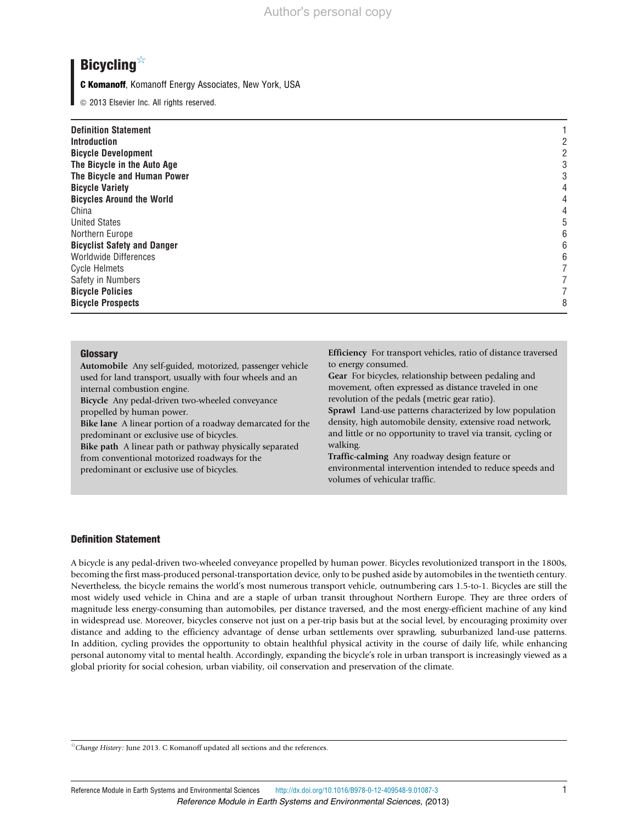# **Bicycling**☆

C Komanoff, Komanoff Energy Associates, New York, USA

 $©$  2013 Elsevier Inc. All rights reserved.

| <b>Definition Statement</b><br><b>Introduction</b><br><b>Bicycle Development</b> |   |  |
|----------------------------------------------------------------------------------|---|--|
| The Bicycle in the Auto Age                                                      |   |  |
| The Bicycle and Human Power                                                      |   |  |
| <b>Bicycle Variety</b>                                                           |   |  |
| <b>Bicycles Around the World</b>                                                 |   |  |
| China                                                                            |   |  |
| <b>United States</b>                                                             | 5 |  |
| Northern Europe                                                                  | 6 |  |
| <b>Bicyclist Safety and Danger</b>                                               | 6 |  |
| <b>Worldwide Differences</b>                                                     |   |  |
| <b>Cycle Helmets</b>                                                             |   |  |
| Safety in Numbers                                                                |   |  |
| <b>Bicycle Policies</b>                                                          |   |  |
| <b>Bicycle Prospects</b>                                                         | 8 |  |

# **Glossary**

Automobile Any self-guided, motorized, passenger vehicle used for land transport, usually with four wheels and an internal combustion engine.

Bicycle Any pedal-driven two-wheeled conveyance propelled by human power.

Bike lane A linear portion of a roadway demarcated for the predominant or exclusive use of bicycles.

Bike path A linear path or pathway physically separated from conventional motorized roadways for the predominant or exclusive use of bicycles.

Efficiency For transport vehicles, ratio of distance traversed to energy consumed.

Gear For bicycles, relationship between pedaling and movement, often expressed as distance traveled in one revolution of the pedals (metric gear ratio).

Sprawl Land-use patterns characterized by low population density, high automobile density, extensive road network, and little or no opportunity to travel via transit, cycling or walking.

Traffic-calming Any roadway design feature or environmental intervention intended to reduce speeds and volumes of vehicular traffic.

# Definition Statement

A bicycle is any pedal-driven two-wheeled conveyance propelled by human power. Bicycles revolutionized transport in the 1800s, becoming the first mass-produced personal-transportation device, only to be pushed aside by automobiles in the twentieth century. Nevertheless, the bicycle remains the world's most numerous transport vehicle, outnumbering cars 1.5-to-1. Bicycles are still the most widely used vehicle in China and are a staple of urban transit throughout Northern Europe. They are three orders of magnitude less energy-consuming than automobiles, per distance traversed, and the most energy-efficient machine of any kind in widespread use. Moreover, bicycles conserve not just on a per-trip basis but at the social level, by encouraging proximity over distance and adding to the efficiency advantage of dense urban settlements over sprawling, suburbanized land-use patterns. In addition, cycling provides the opportunity to obtain healthful physical activity in the course of daily life, while enhancing personal autonomy vital to mental health. Accordingly, expanding the bicycle's role in urban transport is increasingly viewed as a global priority for social cohesion, urban viability, oil conservation and preservation of the climate.

☆Change History: June 2013. C Komanoff updated all sections and the references.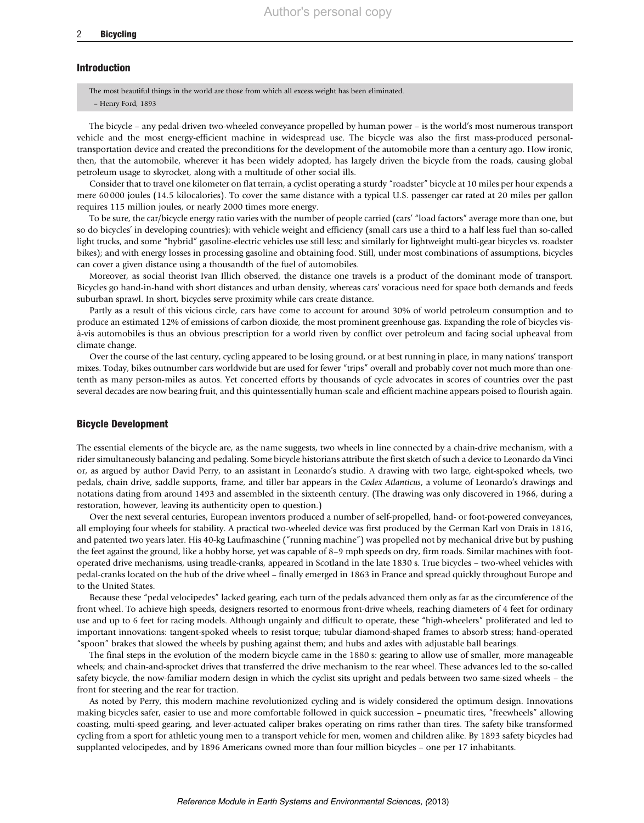# Introduction

The most beautiful things in the world are those from which all excess weight has been eliminated.

– Henry Ford, 1893

The bicycle – any pedal-driven two-wheeled conveyance propelled by human power – is the world's most numerous transport vehicle and the most energy-efficient machine in widespread use. The bicycle was also the first mass-produced personaltransportation device and created the preconditions for the development of the automobile more than a century ago. How ironic, then, that the automobile, wherever it has been widely adopted, has largely driven the bicycle from the roads, causing global petroleum usage to skyrocket, along with a multitude of other social ills.

Consider that to travel one kilometer on flat terrain, a cyclist operating a sturdy "roadster" bicycle at 10 miles per hour expends a mere 60 000 joules (14.5 kilocalories). To cover the same distance with a typical U.S. passenger car rated at 20 miles per gallon requires 115 million joules, or nearly 2000 times more energy.

To be sure, the car/bicycle energy ratio varies with the number of people carried (cars' "load factors" average more than one, but so do bicycles' in developing countries); with vehicle weight and efficiency (small cars use a third to a half less fuel than so-called light trucks, and some "hybrid" gasoline-electric vehicles use still less; and similarly for lightweight multi-gear bicycles vs. roadster bikes); and with energy losses in processing gasoline and obtaining food. Still, under most combinations of assumptions, bicycles can cover a given distance using a thousandth of the fuel of automobiles.

Moreover, as social theorist Ivan Illich observed, the distance one travels is a product of the dominant mode of transport. Bicycles go hand-in-hand with short distances and urban density, whereas cars' voracious need for space both demands and feeds suburban sprawl. In short, bicycles serve proximity while cars create distance.

Partly as a result of this vicious circle, cars have come to account for around 30% of world petroleum consumption and to produce an estimated 12% of emissions of carbon dioxide, the most prominent greenhouse gas. Expanding the role of bicycles visa`-vis automobiles is thus an obvious prescription for a world riven by conflict over petroleum and facing social upheaval from climate change.

Over the course of the last century, cycling appeared to be losing ground, or at best running in place, in many nations' transport mixes. Today, bikes outnumber cars worldwide but are used for fewer "trips" overall and probably cover not much more than onetenth as many person-miles as autos. Yet concerted efforts by thousands of cycle advocates in scores of countries over the past several decades are now bearing fruit, and this quintessentially human-scale and efficient machine appears poised to flourish again.

# Bicycle Development

The essential elements of the bicycle are, as the name suggests, two wheels in line connected by a chain-drive mechanism, with a rider simultaneously balancing and pedaling. Some bicycle historians attribute the first sketch of such a device to Leonardo da Vinci or, as argued by author David Perry, to an assistant in Leonardo's studio. A drawing with two large, eight-spoked wheels, two pedals, chain drive, saddle supports, frame, and tiller bar appears in the Codex Atlanticus, a volume of Leonardo's drawings and notations dating from around 1493 and assembled in the sixteenth century. (The drawing was only discovered in 1966, during a restoration, however, leaving its authenticity open to question.)

Over the next several centuries, European inventors produced a number of self-propelled, hand- or foot-powered conveyances, all employing four wheels for stability. A practical two-wheeled device was first produced by the German Karl von Drais in 1816, and patented two years later. His 40-kg Laufmaschine ("running machine") was propelled not by mechanical drive but by pushing the feet against the ground, like a hobby horse, yet was capable of 8–9 mph speeds on dry, firm roads. Similar machines with footoperated drive mechanisms, using treadle-cranks, appeared in Scotland in the late 1830 s. True bicycles – two-wheel vehicles with pedal-cranks located on the hub of the drive wheel – finally emerged in 1863 in France and spread quickly throughout Europe and to the United States.

Because these "pedal velocipedes" lacked gearing, each turn of the pedals advanced them only as far as the circumference of the front wheel. To achieve high speeds, designers resorted to enormous front-drive wheels, reaching diameters of 4 feet for ordinary use and up to 6 feet for racing models. Although ungainly and difficult to operate, these "high-wheelers" proliferated and led to important innovations: tangent-spoked wheels to resist torque; tubular diamond-shaped frames to absorb stress; hand-operated "spoon" brakes that slowed the wheels by pushing against them; and hubs and axles with adjustable ball bearings.

The final steps in the evolution of the modern bicycle came in the 1880 s: gearing to allow use of smaller, more manageable wheels; and chain-and-sprocket drives that transferred the drive mechanism to the rear wheel. These advances led to the so-called safety bicycle, the now-familiar modern design in which the cyclist sits upright and pedals between two same-sized wheels – the front for steering and the rear for traction.

As noted by Perry, this modern machine revolutionized cycling and is widely considered the optimum design. Innovations making bicycles safer, easier to use and more comfortable followed in quick succession – pneumatic tires, "freewheels" allowing coasting, multi-speed gearing, and lever-actuated caliper brakes operating on rims rather than tires. The safety bike transformed cycling from a sport for athletic young men to a transport vehicle for men, women and children alike. By 1893 safety bicycles had supplanted velocipedes, and by 1896 Americans owned more than four million bicycles – one per 17 inhabitants.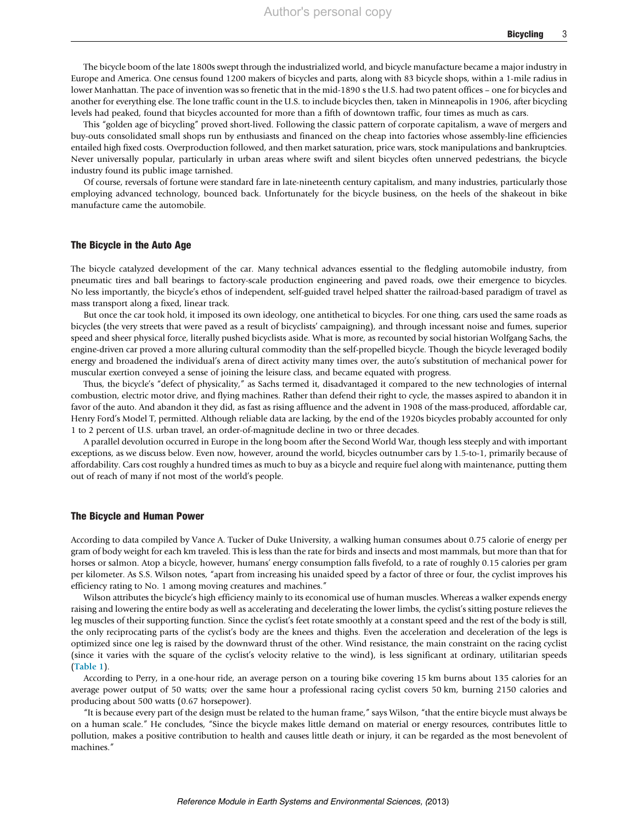The bicycle boom of the late 1800s swept through the industrialized world, and bicycle manufacture became a major industry in Europe and America. One census found 1200 makers of bicycles and parts, along with 83 bicycle shops, within a 1-mile radius in lower Manhattan. The pace of invention was so frenetic that in the mid-1890 s the U.S. had two patent offices – one for bicycles and another for everything else. The lone traffic count in the U.S. to include bicycles then, taken in Minneapolis in 1906, after bicycling levels had peaked, found that bicycles accounted for more than a fifth of downtown traffic, four times as much as cars.

This "golden age of bicycling" proved short-lived. Following the classic pattern of corporate capitalism, a wave of mergers and buy-outs consolidated small shops run by enthusiasts and financed on the cheap into factories whose assembly-line efficiencies entailed high fixed costs. Overproduction followed, and then market saturation, price wars, stock manipulations and bankruptcies. Never universally popular, particularly in urban areas where swift and silent bicycles often unnerved pedestrians, the bicycle industry found its public image tarnished.

Of course, reversals of fortune were standard fare in late-nineteenth century capitalism, and many industries, particularly those employing advanced technology, bounced back. Unfortunately for the bicycle business, on the heels of the shakeout in bike manufacture came the automobile.

# The Bicycle in the Auto Age

The bicycle catalyzed development of the car. Many technical advances essential to the fledgling automobile industry, from pneumatic tires and ball bearings to factory-scale production engineering and paved roads, owe their emergence to bicycles. No less importantly, the bicycle's ethos of independent, self-guided travel helped shatter the railroad-based paradigm of travel as mass transport along a fixed, linear track.

But once the car took hold, it imposed its own ideology, one antithetical to bicycles. For one thing, cars used the same roads as bicycles (the very streets that were paved as a result of bicyclists' campaigning), and through incessant noise and fumes, superior speed and sheer physical force, literally pushed bicyclists aside. What is more, as recounted by social historian Wolfgang Sachs, the engine-driven car proved a more alluring cultural commodity than the self-propelled bicycle. Though the bicycle leveraged bodily energy and broadened the individual's arena of direct activity many times over, the auto's substitution of mechanical power for muscular exertion conveyed a sense of joining the leisure class, and became equated with progress.

Thus, the bicycle's "defect of physicality," as Sachs termed it, disadvantaged it compared to the new technologies of internal combustion, electric motor drive, and flying machines. Rather than defend their right to cycle, the masses aspired to abandon it in favor of the auto. And abandon it they did, as fast as rising affluence and the advent in 1908 of the mass-produced, affordable car, Henry Ford's Model T, permitted. Although reliable data are lacking, by the end of the 1920s bicycles probably accounted for only 1 to 2 percent of U.S. urban travel, an order-of-magnitude decline in two or three decades.

A parallel devolution occurred in Europe in the long boom after the Second World War, though less steeply and with important exceptions, as we discuss below. Even now, however, around the world, bicycles outnumber cars by 1.5-to-1, primarily because of affordability. Cars cost roughly a hundred times as much to buy as a bicycle and require fuel along with maintenance, putting them out of reach of many if not most of the world's people.

# The Bicycle and Human Power

According to data compiled by Vance A. Tucker of Duke University, a walking human consumes about 0.75 calorie of energy per gram of body weight for each km traveled. This is less than the rate for birds and insects and most mammals, but more than that for horses or salmon. Atop a bicycle, however, humans' energy consumption falls fivefold, to a rate of roughly 0.15 calories per gram per kilometer. As S.S. Wilson notes, "apart from increasing his unaided speed by a factor of three or four, the cyclist improves his efficiency rating to No. 1 among moving creatures and machines."

Wilson attributes the bicycle's high efficiency mainly to its economical use of human muscles. Whereas a walker expends energy raising and lowering the entire body as well as accelerating and decelerating the lower limbs, the cyclist's sitting posture relieves the leg muscles of their supporting function. Since the cyclist's feet rotate smoothly at a constant speed and the rest of the body is still, the only reciprocating parts of the cyclist's body are the knees and thighs. Even the acceleration and deceleration of the legs is optimized since one leg is raised by the downward thrust of the other. Wind resistance, the main constraint on the racing cyclist (since it varies with the square of the cyclist's velocity relative to the wind), is less significant at ordinary, utilitarian speeds ([Table 1](#page-4-0)).

According to Perry, in a one-hour ride, an average person on a touring bike covering 15 km burns about 135 calories for an average power output of 50 watts; over the same hour a professional racing cyclist covers 50 km, burning 2150 calories and producing about 500 watts (0.67 horsepower).

"It is because every part of the design must be related to the human frame," says Wilson, "that the entire bicycle must always be on a human scale." He concludes, "Since the bicycle makes little demand on material or energy resources, contributes little to pollution, makes a positive contribution to health and causes little death or injury, it can be regarded as the most benevolent of machines."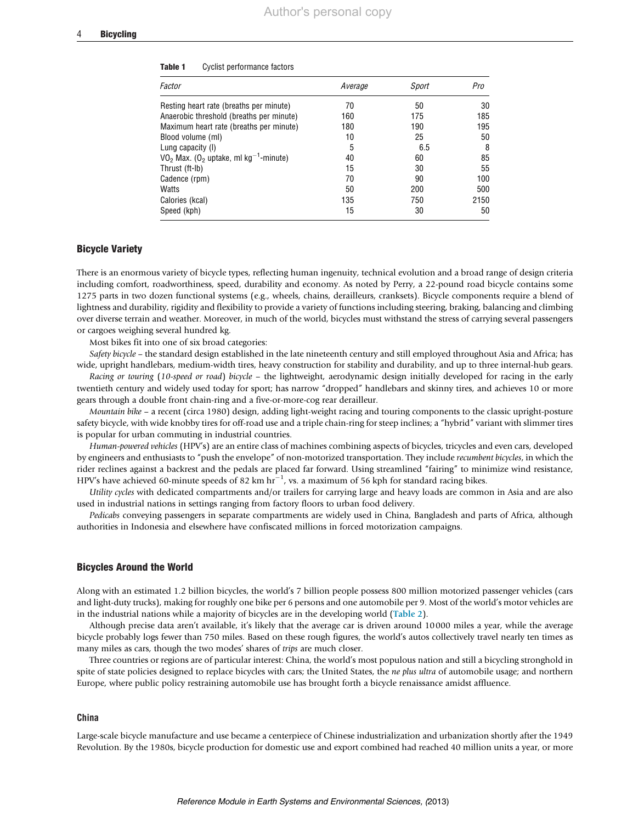| Factor                                                          | Average | Sport | Pro  |
|-----------------------------------------------------------------|---------|-------|------|
| Resting heart rate (breaths per minute)                         | 70      | 50    | 30   |
| Anaerobic threshold (breaths per minute)                        | 160     | 175   | 185  |
| Maximum heart rate (breaths per minute)                         | 180     | 190   | 195  |
| Blood volume (ml)                                               | 10      | 25    | 50   |
| Lung capacity (I)                                               | 5       | 6.5   | 8    |
| $VO2$ Max. (O <sub>2</sub> uptake, ml kg <sup>-1</sup> -minute) | 40      | 60    | 85   |
| Thrust (ft-lb)                                                  | 15      | 30    | 55   |
| Cadence (rpm)                                                   | 70      | 90    | 100  |
| Watts                                                           | 50      | 200   | 500  |
| Calories (kcal)                                                 | 135     | 750   | 2150 |
| Speed (kph)                                                     | 15      | 30    | 50   |

#### <span id="page-4-0"></span>Table 1 Cyclist performance factors

## Bicycle Variety

There is an enormous variety of bicycle types, reflecting human ingenuity, technical evolution and a broad range of design criteria including comfort, roadworthiness, speed, durability and economy. As noted by Perry, a 22-pound road bicycle contains some 1275 parts in two dozen functional systems (e.g., wheels, chains, derailleurs, cranksets). Bicycle components require a blend of lightness and durability, rigidity and flexibility to provide a variety of functions including steering, braking, balancing and climbing over diverse terrain and weather. Moreover, in much of the world, bicycles must withstand the stress of carrying several passengers or cargoes weighing several hundred kg.

Most bikes fit into one of six broad categories:

Safety bicycle – the standard design established in the late nineteenth century and still employed throughout Asia and Africa; has wide, upright handlebars, medium-width tires, heavy construction for stability and durability, and up to three internal-hub gears.

Racing or touring (10-speed or road) bicycle - the lightweight, aerodynamic design initially developed for racing in the early twentieth century and widely used today for sport; has narrow "dropped" handlebars and skinny tires, and achieves 10 or more gears through a double front chain-ring and a five-or-more-cog rear derailleur.

Mountain bike – a recent (circa 1980) design, adding light-weight racing and touring components to the classic upright-posture safety bicycle, with wide knobby tires for off-road use and a triple chain-ring for steep inclines; a "hybrid" variant with slimmer tires is popular for urban commuting in industrial countries.

Human-powered vehicles (HPV's) are an entire class of machines combining aspects of bicycles, tricycles and even cars, developed by engineers and enthusiasts to "push the envelope" of non-motorized transportation. They include recumbent bicycles, in which the rider reclines against a backrest and the pedals are placed far forward. Using streamlined "fairing" to minimize wind resistance, HPV's have achieved 60-minute speeds of 82 km  $hr^{-1}$ , vs. a maximum of 56 kph for standard racing bikes.

Utility cycles with dedicated compartments and/or trailers for carrying large and heavy loads are common in Asia and are also used in industrial nations in settings ranging from factory floors to urban food delivery.

Pedicabs conveying passengers in separate compartments are widely used in China, Bangladesh and parts of Africa, although authorities in Indonesia and elsewhere have confiscated millions in forced motorization campaigns.

## Bicycles Around the World

Along with an estimated 1.2 billion bicycles, the world's 7 billion people possess 800 million motorized passenger vehicles (cars and light-duty trucks), making for roughly one bike per 6 persons and one automobile per 9. Most of the world's motor vehicles are in the industrial nations while a majority of bicycles are in the developing world ([Table 2](#page-5-0)).

Although precise data aren't available, it's likely that the average car is driven around 10 000 miles a year, while the average bicycle probably logs fewer than 750 miles. Based on these rough figures, the world's autos collectively travel nearly ten times as many miles as cars, though the two modes' shares of trips are much closer.

Three countries or regions are of particular interest: China, the world's most populous nation and still a bicycling stronghold in spite of state policies designed to replace bicycles with cars; the United States, the ne plus ultra of automobile usage; and northern Europe, where public policy restraining automobile use has brought forth a bicycle renaissance amidst affluence.

# China

Large-scale bicycle manufacture and use became a centerpiece of Chinese industrialization and urbanization shortly after the 1949 Revolution. By the 1980s, bicycle production for domestic use and export combined had reached 40 million units a year, or more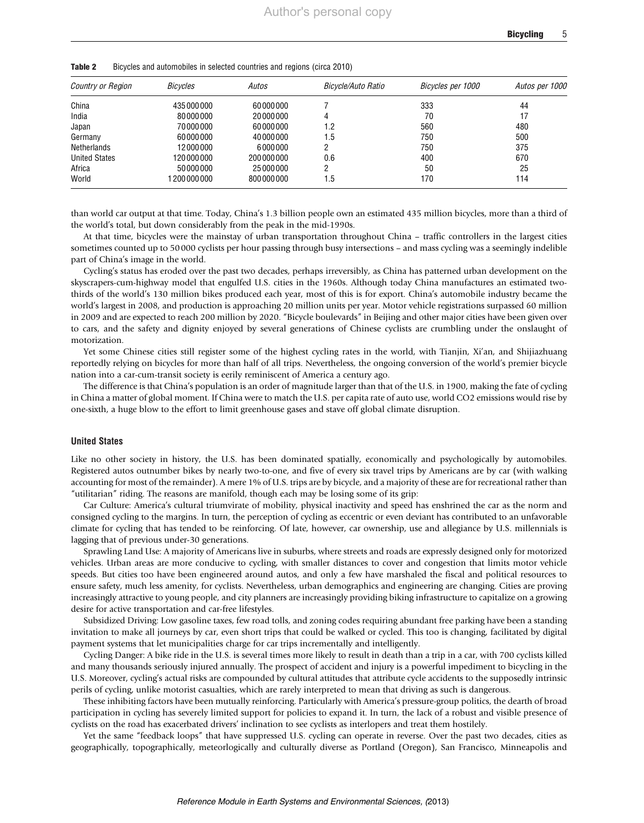| Country or Region    | Bicycles   | Autos     | Bicycle/Auto Ratio | Bicycles per 1000 | Autos per 1000 |
|----------------------|------------|-----------|--------------------|-------------------|----------------|
| China                | 435000000  | 60000000  |                    | 333               | 44             |
| India                | 80000000   | 20000000  | 4                  | 70                | 17             |
| Japan                | 70000000   | 60000000  | l.2                | 560               | 480            |
| Germany              | 60000000   | 40000000  | 1.5                | 750               | 500            |
| <b>Netherlands</b>   | 12000000   | 6000000   |                    | 750               | 375            |
| <b>United States</b> | 120000000  | 200000000 | 0.6                | 400               | 670            |
| Africa               | 50000000   | 25000000  |                    | 50                | 25             |
| World                | 1200000000 | 800000000 | 1.5                | 170               | 114            |

<span id="page-5-0"></span>Table 2 Bicycles and automobiles in selected countries and regions (circa 2010)

than world car output at that time. Today, China's 1.3 billion people own an estimated 435 million bicycles, more than a third of the world's total, but down considerably from the peak in the mid-1990s.

At that time, bicycles were the mainstay of urban transportation throughout China – traffic controllers in the largest cities sometimes counted up to 50 000 cyclists per hour passing through busy intersections – and mass cycling was a seemingly indelible part of China's image in the world.

Cycling's status has eroded over the past two decades, perhaps irreversibly, as China has patterned urban development on the skyscrapers-cum-highway model that engulfed U.S. cities in the 1960s. Although today China manufactures an estimated twothirds of the world's 130 million bikes produced each year, most of this is for export. China's automobile industry became the world's largest in 2008, and production is approaching 20 million units per year. Motor vehicle registrations surpassed 60 million in 2009 and are expected to reach 200 million by 2020. "Bicycle boulevards" in Beijing and other major cities have been given over to cars, and the safety and dignity enjoyed by several generations of Chinese cyclists are crumbling under the onslaught of motorization.

Yet some Chinese cities still register some of the highest cycling rates in the world, with Tianjin, Xi'an, and Shijiazhuang reportedly relying on bicycles for more than half of all trips. Nevertheless, the ongoing conversion of the world's premier bicycle nation into a car-cum-transit society is eerily reminiscent of America a century ago.

The difference is that China's population is an order of magnitude larger than that of the U.S. in 1900, making the fate of cycling in China a matter of global moment. If China were to match the U.S. per capita rate of auto use, world CO2 emissions would rise by one-sixth, a huge blow to the effort to limit greenhouse gases and stave off global climate disruption.

#### United States

Like no other society in history, the U.S. has been dominated spatially, economically and psychologically by automobiles. Registered autos outnumber bikes by nearly two-to-one, and five of every six travel trips by Americans are by car (with walking accounting for most of the remainder). A mere 1% of U.S. trips are by bicycle, and a majority of these are for recreational rather than "utilitarian" riding. The reasons are manifold, though each may be losing some of its grip:

Car Culture: America's cultural triumvirate of mobility, physical inactivity and speed has enshrined the car as the norm and consigned cycling to the margins. In turn, the perception of cycling as eccentric or even deviant has contributed to an unfavorable climate for cycling that has tended to be reinforcing. Of late, however, car ownership, use and allegiance by U.S. millennials is lagging that of previous under-30 generations.

Sprawling Land Use: A majority of Americans live in suburbs, where streets and roads are expressly designed only for motorized vehicles. Urban areas are more conducive to cycling, with smaller distances to cover and congestion that limits motor vehicle speeds. But cities too have been engineered around autos, and only a few have marshaled the fiscal and political resources to ensure safety, much less amenity, for cyclists. Nevertheless, urban demographics and engineering are changing. Cities are proving increasingly attractive to young people, and city planners are increasingly providing biking infrastructure to capitalize on a growing desire for active transportation and car-free lifestyles.

Subsidized Driving: Low gasoline taxes, few road tolls, and zoning codes requiring abundant free parking have been a standing invitation to make all journeys by car, even short trips that could be walked or cycled. This too is changing, facilitated by digital payment systems that let municipalities charge for car trips incrementally and intelligently.

Cycling Danger: A bike ride in the U.S. is several times more likely to result in death than a trip in a car, with 700 cyclists killed and many thousands seriously injured annually. The prospect of accident and injury is a powerful impediment to bicycling in the U.S. Moreover, cycling's actual risks are compounded by cultural attitudes that attribute cycle accidents to the supposedly intrinsic perils of cycling, unlike motorist casualties, which are rarely interpreted to mean that driving as such is dangerous.

These inhibiting factors have been mutually reinforcing. Particularly with America's pressure-group politics, the dearth of broad participation in cycling has severely limited support for policies to expand it. In turn, the lack of a robust and visible presence of cyclists on the road has exacerbated drivers' inclination to see cyclists as interlopers and treat them hostilely.

Yet the same "feedback loops" that have suppressed U.S. cycling can operate in reverse. Over the past two decades, cities as geographically, topographically, meteorlogically and culturally diverse as Portland (Oregon), San Francisco, Minneapolis and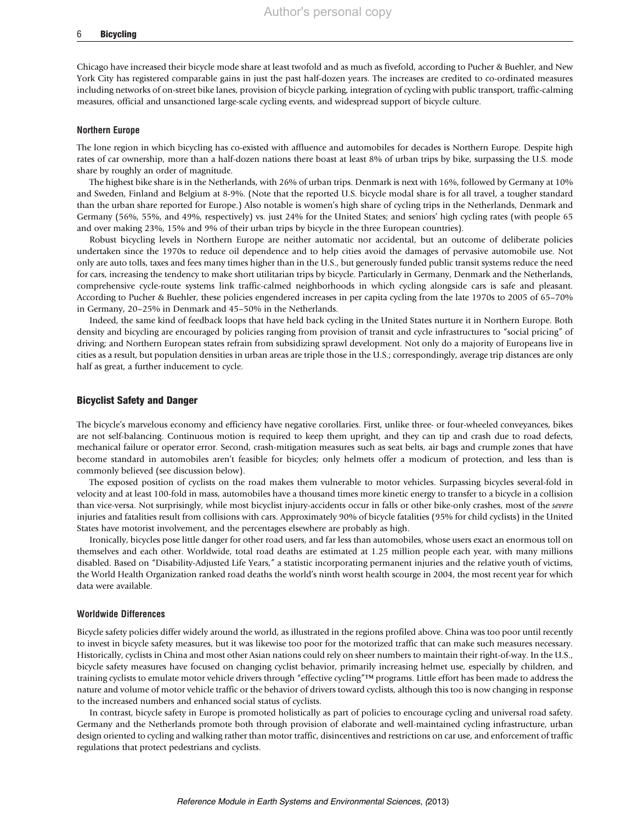#### 6 Bicycling

Chicago have increased their bicycle mode share at least twofold and as much as fivefold, according to Pucher & Buehler, and New York City has registered comparable gains in just the past half-dozen years. The increases are credited to co-ordinated measures including networks of on-street bike lanes, provision of bicycle parking, integration of cycling with public transport, traffic-calming measures, official and unsanctioned large-scale cycling events, and widespread support of bicycle culture.

#### Northern Europe

The lone region in which bicycling has co-existed with affluence and automobiles for decades is Northern Europe. Despite high rates of car ownership, more than a half-dozen nations there boast at least 8% of urban trips by bike, surpassing the U.S. mode share by roughly an order of magnitude.

The highest bike share is in the Netherlands, with 26% of urban trips. Denmark is next with 16%, followed by Germany at 10% and Sweden, Finland and Belgium at 8-9%. (Note that the reported U.S. bicycle modal share is for all travel, a tougher standard than the urban share reported for Europe.) Also notable is women's high share of cycling trips in the Netherlands, Denmark and Germany (56%, 55%, and 49%, respectively) vs. just 24% for the United States; and seniors' high cycling rates (with people 65 and over making 23%, 15% and 9% of their urban trips by bicycle in the three European countries).

Robust bicycling levels in Northern Europe are neither automatic nor accidental, but an outcome of deliberate policies undertaken since the 1970s to reduce oil dependence and to help cities avoid the damages of pervasive automobile use. Not only are auto tolls, taxes and fees many times higher than in the U.S., but generously funded public transit systems reduce the need for cars, increasing the tendency to make short utilitarian trips by bicycle. Particularly in Germany, Denmark and the Netherlands, comprehensive cycle-route systems link traffic-calmed neighborhoods in which cycling alongside cars is safe and pleasant. According to Pucher & Buehler, these policies engendered increases in per capita cycling from the late 1970s to 2005 of 65–70% in Germany, 20–25% in Denmark and 45–50% in the Netherlands.

Indeed, the same kind of feedback loops that have held back cycling in the United States nurture it in Northern Europe. Both density and bicycling are encouraged by policies ranging from provision of transit and cycle infrastructures to "social pricing" of driving; and Northern European states refrain from subsidizing sprawl development. Not only do a majority of Europeans live in cities as a result, but population densities in urban areas are triple those in the U.S.; correspondingly, average trip distances are only half as great, a further inducement to cycle.

# Bicyclist Safety and Danger

The bicycle's marvelous economy and efficiency have negative corollaries. First, unlike three- or four-wheeled conveyances, bikes are not self-balancing. Continuous motion is required to keep them upright, and they can tip and crash due to road defects, mechanical failure or operator error. Second, crash-mitigation measures such as seat belts, air bags and crumple zones that have become standard in automobiles aren't feasible for bicycles; only helmets offer a modicum of protection, and less than is commonly believed (see discussion below).

The exposed position of cyclists on the road makes them vulnerable to motor vehicles. Surpassing bicycles several-fold in velocity and at least 100-fold in mass, automobiles have a thousand times more kinetic energy to transfer to a bicycle in a collision than vice-versa. Not surprisingly, while most bicyclist injury-accidents occur in falls or other bike-only crashes, most of the severe injuries and fatalities result from collisions with cars. Approximately 90% of bicycle fatalities (95% for child cyclists) in the United States have motorist involvement, and the percentages elsewhere are probably as high.

Ironically, bicycles pose little danger for other road users, and far less than automobiles, whose users exact an enormous toll on themselves and each other. Worldwide, total road deaths are estimated at 1.25 million people each year, with many millions disabled. Based on "Disability-Adjusted Life Years," a statistic incorporating permanent injuries and the relative youth of victims, the World Health Organization ranked road deaths the world's ninth worst health scourge in 2004, the most recent year for which data were available.

#### Worldwide Differences

Bicycle safety policies differ widely around the world, as illustrated in the regions profiled above. China was too poor until recently to invest in bicycle safety measures, but it was likewise too poor for the motorized traffic that can make such measures necessary. Historically, cyclists in China and most other Asian nations could rely on sheer numbers to maintain their right-of-way. In the U.S., bicycle safety measures have focused on changing cyclist behavior, primarily increasing helmet use, especially by children, and training cyclists to emulate motor vehicle drivers through "effective cycling"™ programs. Little effort has been made to address the nature and volume of motor vehicle traffic or the behavior of drivers toward cyclists, although this too is now changing in response to the increased numbers and enhanced social status of cyclists.

In contrast, bicycle safety in Europe is promoted holistically as part of policies to encourage cycling and universal road safety. Germany and the Netherlands promote both through provision of elaborate and well-maintained cycling infrastructure, urban design oriented to cycling and walking rather than motor traffic, disincentives and restrictions on car use, and enforcement of traffic regulations that protect pedestrians and cyclists.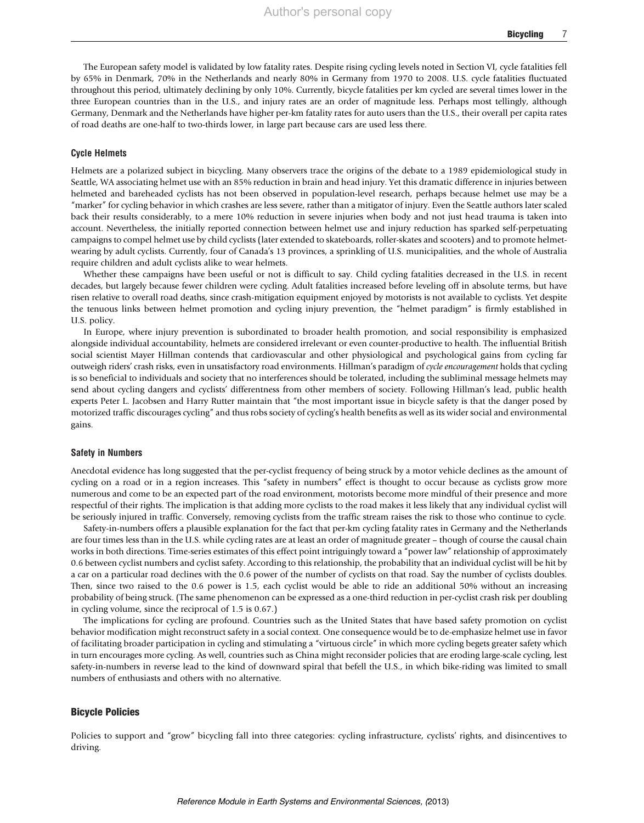The European safety model is validated by low fatality rates. Despite rising cycling levels noted in Section VI, cycle fatalities fell by 65% in Denmark, 70% in the Netherlands and nearly 80% in Germany from 1970 to 2008. U.S. cycle fatalities fluctuated throughout this period, ultimately declining by only 10%. Currently, bicycle fatalities per km cycled are several times lower in the three European countries than in the U.S., and injury rates are an order of magnitude less. Perhaps most tellingly, although Germany, Denmark and the Netherlands have higher per-km fatality rates for auto users than the U.S., their overall per capita rates of road deaths are one-half to two-thirds lower, in large part because cars are used less there.

# Cycle Helmets

Helmets are a polarized subject in bicycling. Many observers trace the origins of the debate to a 1989 epidemiological study in Seattle, WA associating helmet use with an 85% reduction in brain and head injury. Yet this dramatic difference in injuries between helmeted and bareheaded cyclists has not been observed in population-level research, perhaps because helmet use may be a "marker" for cycling behavior in which crashes are less severe, rather than a mitigator of injury. Even the Seattle authors later scaled back their results considerably, to a mere 10% reduction in severe injuries when body and not just head trauma is taken into account. Nevertheless, the initially reported connection between helmet use and injury reduction has sparked self-perpetuating campaigns to compel helmet use by child cyclists (later extended to skateboards, roller-skates and scooters) and to promote helmetwearing by adult cyclists. Currently, four of Canada's 13 provinces, a sprinkling of U.S. municipalities, and the whole of Australia require children and adult cyclists alike to wear helmets.

Whether these campaigns have been useful or not is difficult to say. Child cycling fatalities decreased in the U.S. in recent decades, but largely because fewer children were cycling. Adult fatalities increased before leveling off in absolute terms, but have risen relative to overall road deaths, since crash-mitigation equipment enjoyed by motorists is not available to cyclists. Yet despite the tenuous links between helmet promotion and cycling injury prevention, the "helmet paradigm" is firmly established in U.S. policy.

In Europe, where injury prevention is subordinated to broader health promotion, and social responsibility is emphasized alongside individual accountability, helmets are considered irrelevant or even counter-productive to health. The influential British social scientist Mayer Hillman contends that cardiovascular and other physiological and psychological gains from cycling far outweigh riders' crash risks, even in unsatisfactory road environments. Hillman's paradigm of cycle encouragement holds that cycling is so beneficial to individuals and society that no interferences should be tolerated, including the subliminal message helmets may send about cycling dangers and cyclists' differentness from other members of society. Following Hillman's lead, public health experts Peter L. Jacobsen and Harry Rutter maintain that "the most important issue in bicycle safety is that the danger posed by motorized traffic discourages cycling" and thus robs society of cycling's health benefits as well as its wider social and environmental gains.

# Safety in Numbers

Anecdotal evidence has long suggested that the per-cyclist frequency of being struck by a motor vehicle declines as the amount of cycling on a road or in a region increases. This "safety in numbers" effect is thought to occur because as cyclists grow more numerous and come to be an expected part of the road environment, motorists become more mindful of their presence and more respectful of their rights. The implication is that adding more cyclists to the road makes it less likely that any individual cyclist will be seriously injured in traffic. Conversely, removing cyclists from the traffic stream raises the risk to those who continue to cycle.

Safety-in-numbers offers a plausible explanation for the fact that per-km cycling fatality rates in Germany and the Netherlands are four times less than in the U.S. while cycling rates are at least an order of magnitude greater – though of course the causal chain works in both directions. Time-series estimates of this effect point intriguingly toward a "power law" relationship of approximately 0.6 between cyclist numbers and cyclist safety. According to this relationship, the probability that an individual cyclist will be hit by a car on a particular road declines with the 0.6 power of the number of cyclists on that road. Say the number of cyclists doubles. Then, since two raised to the 0.6 power is 1.5, each cyclist would be able to ride an additional 50% without an increasing probability of being struck. (The same phenomenon can be expressed as a one-third reduction in per-cyclist crash risk per doubling in cycling volume, since the reciprocal of 1.5 is 0.67.)

The implications for cycling are profound. Countries such as the United States that have based safety promotion on cyclist behavior modification might reconstruct safety in a social context. One consequence would be to de-emphasize helmet use in favor of facilitating broader participation in cycling and stimulating a "virtuous circle" in which more cycling begets greater safety which in turn encourages more cycling. As well, countries such as China might reconsider policies that are eroding large-scale cycling, lest safety-in-numbers in reverse lead to the kind of downward spiral that befell the U.S., in which bike-riding was limited to small numbers of enthusiasts and others with no alternative.

# Bicycle Policies

Policies to support and "grow" bicycling fall into three categories: cycling infrastructure, cyclists' rights, and disincentives to driving.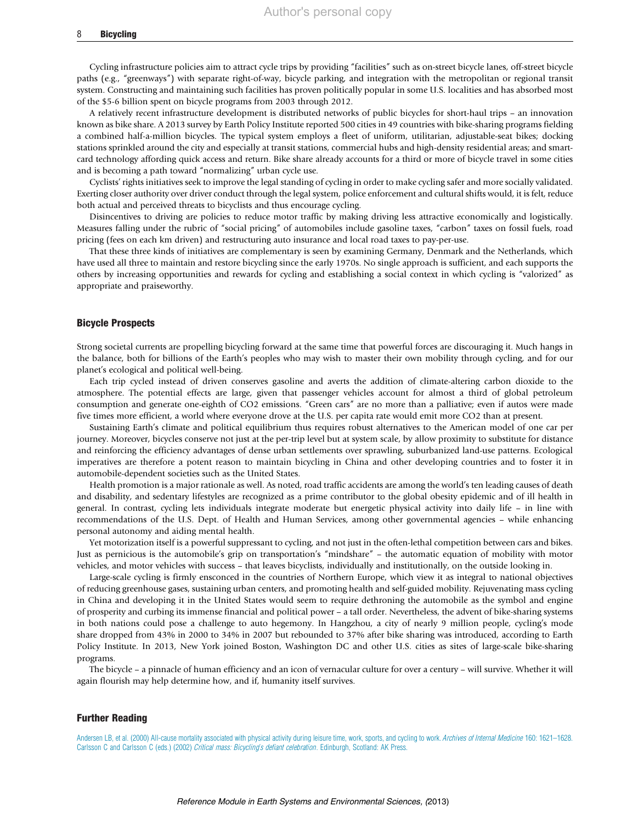#### 8 Bicycling

Cycling infrastructure policies aim to attract cycle trips by providing "facilities" such as on-street bicycle lanes, off-street bicycle paths (e.g., "greenways") with separate right-of-way, bicycle parking, and integration with the metropolitan or regional transit system. Constructing and maintaining such facilities has proven politically popular in some U.S. localities and has absorbed most of the \$5-6 billion spent on bicycle programs from 2003 through 2012.

A relatively recent infrastructure development is distributed networks of public bicycles for short-haul trips – an innovation known as bike share. A 2013 survey by Earth Policy Institute reported 500 cities in 49 countries with bike-sharing programs fielding a combined half-a-million bicycles. The typical system employs a fleet of uniform, utilitarian, adjustable-seat bikes; docking stations sprinkled around the city and especially at transit stations, commercial hubs and high-density residential areas; and smartcard technology affording quick access and return. Bike share already accounts for a third or more of bicycle travel in some cities and is becoming a path toward "normalizing" urban cycle use.

Cyclists' rights initiatives seek to improve the legal standing of cycling in order to make cycling safer and more socially validated. Exerting closer authority over driver conduct through the legal system, police enforcement and cultural shifts would, it is felt, reduce both actual and perceived threats to bicyclists and thus encourage cycling.

Disincentives to driving are policies to reduce motor traffic by making driving less attractive economically and logistically. Measures falling under the rubric of "social pricing" of automobiles include gasoline taxes, "carbon" taxes on fossil fuels, road pricing (fees on each km driven) and restructuring auto insurance and local road taxes to pay-per-use.

That these three kinds of initiatives are complementary is seen by examining Germany, Denmark and the Netherlands, which have used all three to maintain and restore bicycling since the early 1970s. No single approach is sufficient, and each supports the others by increasing opportunities and rewards for cycling and establishing a social context in which cycling is "valorized" as appropriate and praiseworthy.

# Bicycle Prospects

Strong societal currents are propelling bicycling forward at the same time that powerful forces are discouraging it. Much hangs in the balance, both for billions of the Earth's peoples who may wish to master their own mobility through cycling, and for our planet's ecological and political well-being.

Each trip cycled instead of driven conserves gasoline and averts the addition of climate-altering carbon dioxide to the atmosphere. The potential effects are large, given that passenger vehicles account for almost a third of global petroleum consumption and generate one-eighth of CO2 emissions. "Green cars" are no more than a palliative; even if autos were made five times more efficient, a world where everyone drove at the U.S. per capita rate would emit more CO2 than at present.

Sustaining Earth's climate and political equilibrium thus requires robust alternatives to the American model of one car per journey. Moreover, bicycles conserve not just at the per-trip level but at system scale, by allow proximity to substitute for distance and reinforcing the efficiency advantages of dense urban settlements over sprawling, suburbanized land-use patterns. Ecological imperatives are therefore a potent reason to maintain bicycling in China and other developing countries and to foster it in automobile-dependent societies such as the United States.

Health promotion is a major rationale as well. As noted, road traffic accidents are among the world's ten leading causes of death and disability, and sedentary lifestyles are recognized as a prime contributor to the global obesity epidemic and of ill health in general. In contrast, cycling lets individuals integrate moderate but energetic physical activity into daily life – in line with recommendations of the U.S. Dept. of Health and Human Services, among other governmental agencies – while enhancing personal autonomy and aiding mental health.

Yet motorization itself is a powerful suppressant to cycling, and not just in the often-lethal competition between cars and bikes. Just as pernicious is the automobile's grip on transportation's "mindshare" – the automatic equation of mobility with motor vehicles, and motor vehicles with success – that leaves bicyclists, individually and institutionally, on the outside looking in.

Large-scale cycling is firmly ensconced in the countries of Northern Europe, which view it as integral to national objectives of reducing greenhouse gases, sustaining urban centers, and promoting health and self-guided mobility. Rejuvenating mass cycling in China and developing it in the United States would seem to require dethroning the automobile as the symbol and engine of prosperity and curbing its immense financial and political power – a tall order. Nevertheless, the advent of bike-sharing systems in both nations could pose a challenge to auto hegemony. In Hangzhou, a city of nearly 9 million people, cycling's mode share dropped from 43% in 2000 to 34% in 2007 but rebounded to 37% after bike sharing was introduced, according to Earth Policy Institute. In 2013, New York joined Boston, Washington DC and other U.S. cities as sites of large-scale bike-sharing programs.

The bicycle – a pinnacle of human efficiency and an icon of vernacular culture for over a century – will survive. Whether it will again flourish may help determine how, and if, humanity itself survives.

## Further Reading

[Andersen LB, et al. \(2000\) All-cause mortality associated with physical activity during leisure time, work, sports, and cycling to work.](http://refhub.elsevier.com/B978-0-12-409548-9.01087-3/rf0010) Archives of Internal Medicine 160: 1621-1628. Carlsson C and Carlsson C (eds.) (2002) [Critical mass: Bicycling's defiant celebration](http://refhub.elsevier.com/B978-0-12-409548-9.01087-3/rf0015). Edinburgh, Scotland: AK Press.